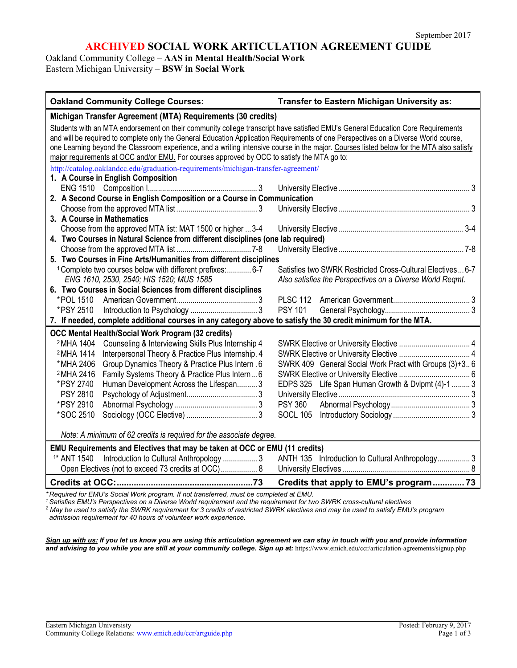# **ARCHIVED SOCIAL WORK ARTICULATION AGREEMENT GUIDE**

Oakland Community College – **AAS in Mental Health/Social Work**

Eastern Michigan University – **BSW in Social Work**

| <b>Oakland Community College Courses:</b>                                                                                                                                                                                                                                                                                                                                                                                                                                                                         | Transfer to Eastern Michigan University as:                                                                            |
|-------------------------------------------------------------------------------------------------------------------------------------------------------------------------------------------------------------------------------------------------------------------------------------------------------------------------------------------------------------------------------------------------------------------------------------------------------------------------------------------------------------------|------------------------------------------------------------------------------------------------------------------------|
| Michigan Transfer Agreement (MTA) Requirements (30 credits)                                                                                                                                                                                                                                                                                                                                                                                                                                                       |                                                                                                                        |
| Students with an MTA endorsement on their community college transcript have satisfied EMU's General Education Core Requirements<br>and will be required to complete only the General Education Application Requirements of one Perspectives on a Diverse World course,<br>one Learning beyond the Classroom experience, and a writing intensive course in the major. Courses listed below for the MTA also satisfy<br>major requirements at OCC and/or EMU. For courses approved by OCC to satisfy the MTA go to: |                                                                                                                        |
| http://catalog.oaklandcc.edu/graduation-requirements/michigan-transfer-agreement/                                                                                                                                                                                                                                                                                                                                                                                                                                 |                                                                                                                        |
| 1. A Course in English Composition                                                                                                                                                                                                                                                                                                                                                                                                                                                                                |                                                                                                                        |
|                                                                                                                                                                                                                                                                                                                                                                                                                                                                                                                   |                                                                                                                        |
| 2. A Second Course in English Composition or a Course in Communication                                                                                                                                                                                                                                                                                                                                                                                                                                            |                                                                                                                        |
| 3. A Course in Mathematics                                                                                                                                                                                                                                                                                                                                                                                                                                                                                        |                                                                                                                        |
| Choose from the approved MTA list: MAT 1500 or higher  3-4                                                                                                                                                                                                                                                                                                                                                                                                                                                        |                                                                                                                        |
| 4. Two Courses in Natural Science from different disciplines (one lab required)                                                                                                                                                                                                                                                                                                                                                                                                                                   |                                                                                                                        |
|                                                                                                                                                                                                                                                                                                                                                                                                                                                                                                                   |                                                                                                                        |
| 5. Two Courses in Fine Arts/Humanities from different disciplines                                                                                                                                                                                                                                                                                                                                                                                                                                                 |                                                                                                                        |
| <sup>1</sup> Complete two courses below with different prefixes: 6-7<br>ENG 1610, 2530, 2540; HIS 1520; MUS 1585                                                                                                                                                                                                                                                                                                                                                                                                  | Satisfies two SWRK Restricted Cross-Cultural Electives6-7<br>Also satisfies the Perspectives on a Diverse World Regmt. |
| 6. Two Courses in Social Sciences from different disciplines                                                                                                                                                                                                                                                                                                                                                                                                                                                      |                                                                                                                        |
| *POL 1510<br>*PSY 2510                                                                                                                                                                                                                                                                                                                                                                                                                                                                                            | <b>PLSC 112</b><br><b>PSY 101</b>                                                                                      |
| 7. If needed, complete additional courses in any category above to satisfy the 30 credit minimum for the MTA.                                                                                                                                                                                                                                                                                                                                                                                                     |                                                                                                                        |
| <b>OCC Mental Health/Social Work Program (32 credits)</b>                                                                                                                                                                                                                                                                                                                                                                                                                                                         |                                                                                                                        |
| <sup>2</sup> MHA 1404 Counseling & Interviewing Skills Plus Internship 4<br>Interpersonal Theory & Practice Plus Internship. 4<br><sup>2</sup> MHA 1414                                                                                                                                                                                                                                                                                                                                                           |                                                                                                                        |
| Group Dynamics Theory & Practice Plus Intern . 6<br>*MHA 2406                                                                                                                                                                                                                                                                                                                                                                                                                                                     | SWRK 409 General Social Work Pract with Groups (3)+36                                                                  |
| <sup>2</sup> MHA 2416<br>Family Systems Theory & Practice Plus Intern 6<br>*PSY 2740<br>Human Development Across the Lifespan 3<br><b>PSY 2810</b>                                                                                                                                                                                                                                                                                                                                                                | EDPS 325 Life Span Human Growth & Dvlpmt (4)-1  3                                                                      |
| *PSY 2910                                                                                                                                                                                                                                                                                                                                                                                                                                                                                                         | <b>PSY 360</b>                                                                                                         |
| *SOC 2510                                                                                                                                                                                                                                                                                                                                                                                                                                                                                                         |                                                                                                                        |
| Note: A minimum of 62 credits is required for the associate degree.                                                                                                                                                                                                                                                                                                                                                                                                                                               |                                                                                                                        |
| EMU Requirements and Electives that may be taken at OCC or EMU (11 credits)                                                                                                                                                                                                                                                                                                                                                                                                                                       |                                                                                                                        |
| <sup>1*</sup> ANT 1540 Introduction to Cultural Anthropology  3                                                                                                                                                                                                                                                                                                                                                                                                                                                   | ANTH 135 Introduction to Cultural Anthropology 3                                                                       |
| Open Electives (not to exceed 73 credits at OCC) 8                                                                                                                                                                                                                                                                                                                                                                                                                                                                |                                                                                                                        |
|                                                                                                                                                                                                                                                                                                                                                                                                                                                                                                                   | Credits that apply to EMU's program 73                                                                                 |
| Required for EMU's Social Work program. If not transferred, must be completed at EMU.<br>Sotisfies EMI "s Perspectives on a Diverse World requirement and the requirement for two SWPK cross cultural electives                                                                                                                                                                                                                                                                                                   |                                                                                                                        |

*<sup>1</sup> Satisfies EMU's Perspectives on a Diverse World requirement and the requirement for two SWRK cross-cultural electives*

*<sup>2</sup> May be used to satisfy the SWRK requirement for 3 credits of restricted SWRK electives and may be used to satisfy EMU's program admission requirement for 40 hours of volunteer work experience.* 

*Sign up with us: If you let us know you are using this articulation agreement we can stay in touch with you and provide information and advising to you while you are still at your community college. Sign up at:* <https://www.emich.edu/ccr/articulation-agreements/signup.php>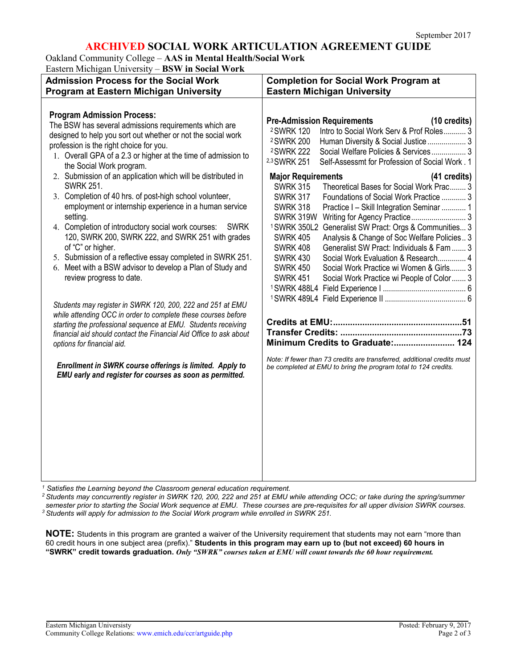# **ARCHIVED SOCIAL WORK ARTICULATION AGREEMENT GUIDE**

Oakland Community College – **AAS in Mental Health/Social Work** Eastern Michigan University – **BSW in Social Work**

| <b>Completion for Social Work Program at</b><br><b>Eastern Michigan University</b>                                                                                                                                                                                                                                                                                                                                                                                                                                                                                                                                                                   |
|------------------------------------------------------------------------------------------------------------------------------------------------------------------------------------------------------------------------------------------------------------------------------------------------------------------------------------------------------------------------------------------------------------------------------------------------------------------------------------------------------------------------------------------------------------------------------------------------------------------------------------------------------|
|                                                                                                                                                                                                                                                                                                                                                                                                                                                                                                                                                                                                                                                      |
| $(10 \text{ credits})$<br><b>Pre-Admission Requirements</b><br>Intro to Social Work Serv & Prof Roles 3<br><sup>2</sup> SWRK 120<br><sup>2</sup> SWRK 200<br>Human Diversity & Social Justice 3<br>Social Welfare Policies & Services 3<br><sup>2</sup> SWRK 222<br>2,3 SWRK 251<br>Self-Assessmt for Profession of Social Work. 1                                                                                                                                                                                                                                                                                                                   |
| <b>Major Requirements</b><br>(41 credits)<br><b>SWRK 315</b><br>Theoretical Bases for Social Work Prac 3<br><b>SWRK 317</b><br>Foundations of Social Work Practice  3<br><b>SWRK 318</b><br>Practice I - Skill Integration Seminar  1<br>SWRK 319W<br>Generalist SW Pract: Orgs & Communities 3<br><sup>1</sup> SWRK 350L2<br><b>SWRK 405</b><br>Analysis & Change of Soc Welfare Policies 3<br>Generalist SW Pract: Individuals & Fam  3<br><b>SWRK 408</b><br>Social Work Evaluation & Research 4<br><b>SWRK 430</b><br><b>SWRK 450</b><br>Social Work Practice wi Women & Girls 3<br><b>SWRK 451</b><br>Social Work Practice wi People of Color 3 |
| Minimum Credits to Graduate: 124<br>Note: If fewer than 73 credits are transferred, additional credits must<br>be completed at EMU to bring the program total to 124 credits.                                                                                                                                                                                                                                                                                                                                                                                                                                                                        |
|                                                                                                                                                                                                                                                                                                                                                                                                                                                                                                                                                                                                                                                      |

*<sup>1</sup> Satisfies the Learning beyond the Classroom general education requirement.*

*<sup>2</sup> Students may concurrently register in SWRK 120, 200, 222 and 251 at EMU while attending OCC; or take during the spring/summer semester prior to starting the Social Work sequence at EMU. These courses are pre-requisites for all upper division SWRK courses. <sup>3</sup> Students will apply for admission to the Social Work program while enrolled in SWRK 251.*

**NOTE:** Students in this program are granted a waiver of the University requirement that students may not earn "more than 60 credit hours in one subject area (prefix)." **Students in this program may earn up to (but not exceed) 60 hours in** "SWRK" credit towards graduation. Only "SWRK" courses taken at EMU will count towards the 60 hour requirement.